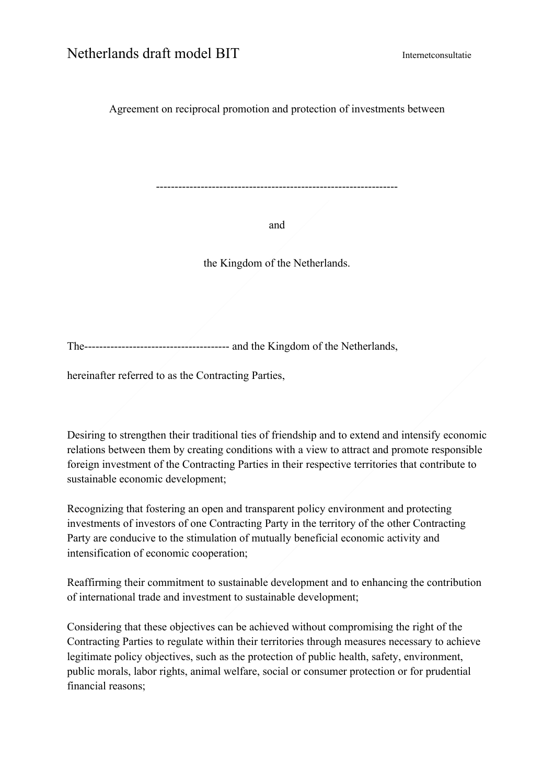Agreement on reciprocal promotion and protection of investments between

-----------------------------------------------------------------

and

the Kingdom of the Netherlands.

The--------------------------------------- and the Kingdom of the Netherlands,

hereinafter referred to as the Contracting Parties,

Desiring to strengthen their traditional ties of friendship and to extend and intensify economic relations between them by creating conditions with a view to attract and promote responsible foreign investment of the Contracting Parties in their respective territories that contribute to sustainable economic development;

Recognizing that fostering an open and transparent policy environment and protecting investments of investors of one Contracting Party in the territory of the other Contracting Party are conducive to the stimulation of mutually beneficial economic activity and intensification of economic cooperation;

Reaffirming their commitment to sustainable development and to enhancing the contribution of international trade and investment to sustainable development;

Considering that these objectives can be achieved without compromising the right of the Contracting Parties to regulate within their territories through measures necessary to achieve legitimate policy objectives, such as the protection of public health, safety, environment, public morals, labor rights, animal welfare, social or consumer protection or for prudential financial reasons;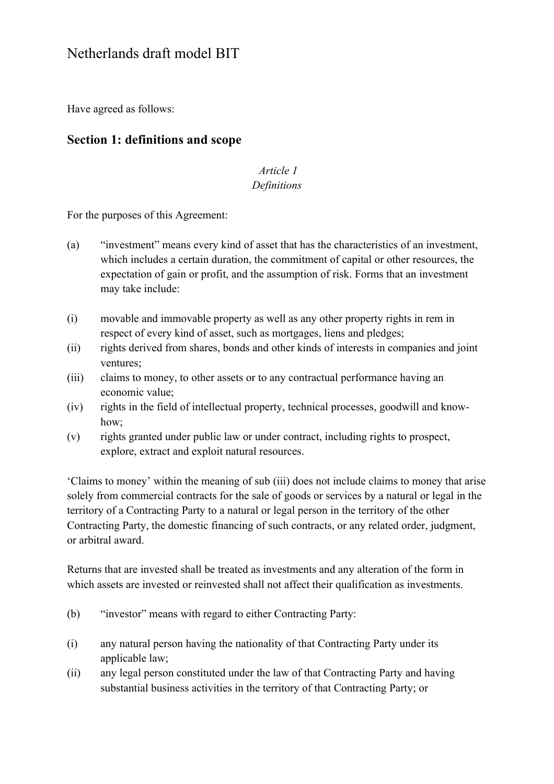Have agreed as follows:

### **Section 1: definitions and scope**

#### *Article 1 Definitions*

For the purposes of this Agreement:

- (a) "investment" means every kind of asset that has the characteristics of an investment, which includes a certain duration, the commitment of capital or other resources, the expectation of gain or profit, and the assumption of risk. Forms that an investment may take include:
- (i) movable and immovable property as well as any other property rights in rem in respect of every kind of asset, such as mortgages, liens and pledges;
- (ii) rights derived from shares, bonds and other kinds of interests in companies and joint ventures;
- (iii) claims to money, to other assets or to any contractual performance having an economic value;
- (iv) rights in the field of intellectual property, technical processes, goodwill and knowhow;
- (v) rights granted under public law or under contract, including rights to prospect, explore, extract and exploit natural resources.

'Claims to money' within the meaning of sub (iii) does not include claims to money that arise solely from commercial contracts for the sale of goods or services by a natural or legal in the territory of a Contracting Party to a natural or legal person in the territory of the other Contracting Party, the domestic financing of such contracts, or any related order, judgment, or arbitral award.

Returns that are invested shall be treated as investments and any alteration of the form in which assets are invested or reinvested shall not affect their qualification as investments.

- (b) "investor" means with regard to either Contracting Party:
- (i) any natural person having the nationality of that Contracting Party under its applicable law;
- (ii) any legal person constituted under the law of that Contracting Party and having substantial business activities in the territory of that Contracting Party; or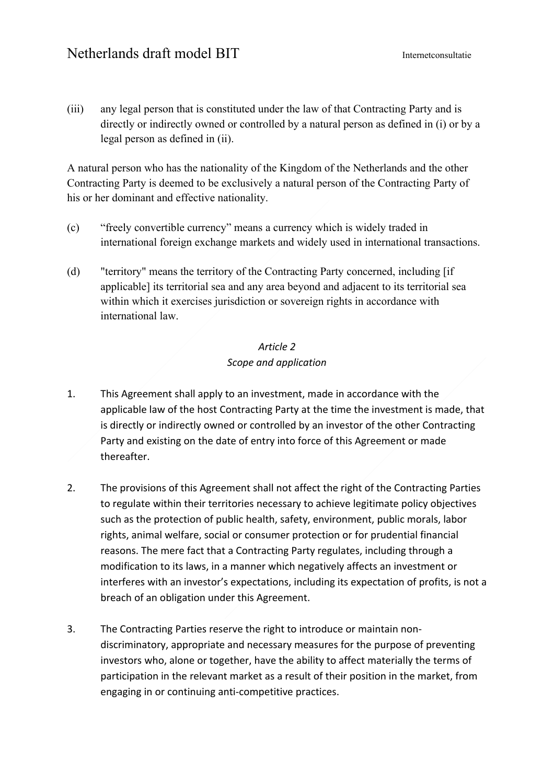(iii) any legal person that is constituted under the law of that Contracting Party and is directly or indirectly owned or controlled by a natural person as defined in (i) or by a legal person as defined in (ii).

A natural person who has the nationality of the Kingdom of the Netherlands and the other Contracting Party is deemed to be exclusively a natural person of the Contracting Party of his or her dominant and effective nationality.

- (c) "freely convertible currency" means a currency which is widely traded in international foreign exchange markets and widely used in international transactions.
- (d) "territory" means the territory of the Contracting Party concerned, including [if applicable] its territorial sea and any area beyond and adjacent to its territorial sea within which it exercises jurisdiction or sovereign rights in accordance with international law.

### *Article 2 Scope and application*

- 1. This Agreement shall apply to an investment, made in accordance with the applicable law of the host Contracting Party at the time the investment is made, that is directly or indirectly owned or controlled by an investor of the other Contracting Party and existing on the date of entry into force of this Agreement or made thereafter.
- 2. The provisions of this Agreement shall not affect the right of the Contracting Parties to regulate within their territories necessary to achieve legitimate policy objectives such as the protection of public health, safety, environment, public morals, labor rights, animal welfare, social or consumer protection or for prudential financial reasons. The mere fact that a Contracting Party regulates, including through a modification to its laws, in a manner which negatively affects an investment or interferes with an investor's expectations, including its expectation of profits, is not a breach of an obligation under this Agreement.
- 3. The Contracting Parties reserve the right to introduce or maintain nondiscriminatory, appropriate and necessary measures for the purpose of preventing investors who, alone or together, have the ability to affect materially the terms of participation in the relevant market as a result of their position in the market, from engaging in or continuing anti-competitive practices.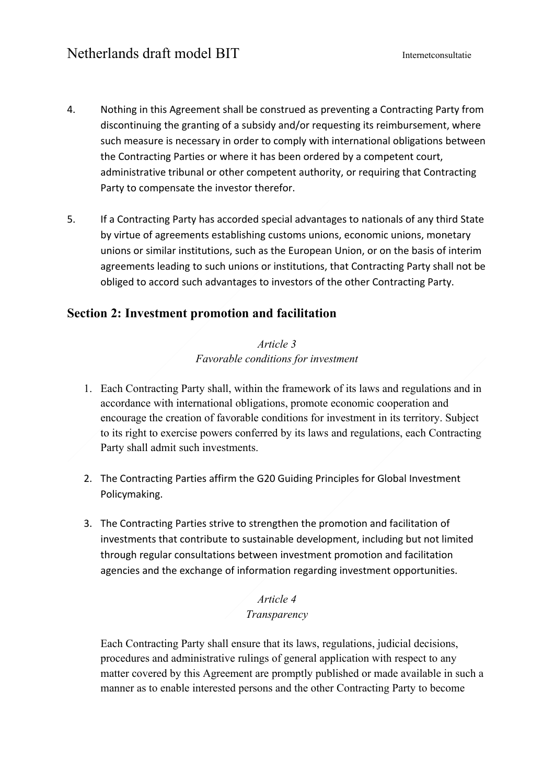- 4. Nothing in this Agreement shall be construed as preventing a Contracting Party from discontinuing the granting of a subsidy and/or requesting its reimbursement, where such measure is necessary in order to comply with international obligations between the Contracting Parties or where it has been ordered by a competent court, administrative tribunal or other competent authority, or requiring that Contracting Party to compensate the investor therefor.
- 5. If a Contracting Party has accorded special advantages to nationals of any third State by virtue of agreements establishing customs unions, economic unions, monetary unions or similar institutions, such as the European Union, or on the basis of interim agreements leading to such unions or institutions, that Contracting Party shall not be obliged to accord such advantages to investors of the other Contracting Party.

## **Section 2: Investment promotion and facilitation**

#### *Article 3 Favorable conditions for investment*

- 1. Each Contracting Party shall, within the framework of its laws and regulations and in accordance with international obligations, promote economic cooperation and encourage the creation of favorable conditions for investment in its territory. Subject to its right to exercise powers conferred by its laws and regulations, each Contracting Party shall admit such investments.
- 2. The Contracting Parties affirm the G20 Guiding Principles for Global Investment Policymaking.
- 3. The Contracting Parties strive to strengthen the promotion and facilitation of investments that contribute to sustainable development, including but not limited through regular consultations between investment promotion and facilitation agencies and the exchange of information regarding investment opportunities.

#### *Article 4 Transparency*

Each Contracting Party shall ensure that its laws, regulations, judicial decisions, procedures and administrative rulings of general application with respect to any matter covered by this Agreement are promptly published or made available in such a manner as to enable interested persons and the other Contracting Party to become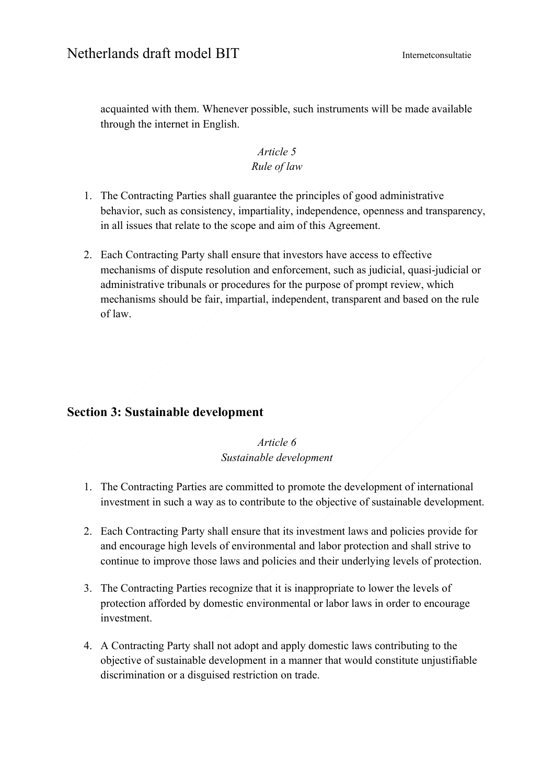acquainted with them. Whenever possible, such instruments will be made available through the internet in English.

#### *Article 5 Rule of law*

- 1. The Contracting Parties shall guarantee the principles of good administrative behavior, such as consistency, impartiality, independence, openness and transparency, in all issues that relate to the scope and aim of this Agreement.
- 2. Each Contracting Party shall ensure that investors have access to effective mechanisms of dispute resolution and enforcement, such as judicial, quasi-judicial or administrative tribunals or procedures for the purpose of prompt review, which mechanisms should be fair, impartial, independent, transparent and based on the rule of law.

## **Section 3: Sustainable development**

*Article 6 Sustainable development*

- 1. The Contracting Parties are committed to promote the development of international investment in such a way as to contribute to the objective of sustainable development.
- 2. Each Contracting Party shall ensure that its investment laws and policies provide for and encourage high levels of environmental and labor protection and shall strive to continue to improve those laws and policies and their underlying levels of protection.
- 3. The Contracting Parties recognize that it is inappropriate to lower the levels of protection afforded by domestic environmental or labor laws in order to encourage investment.
- 4. A Contracting Party shall not adopt and apply domestic laws contributing to the objective of sustainable development in a manner that would constitute unjustifiable discrimination or a disguised restriction on trade.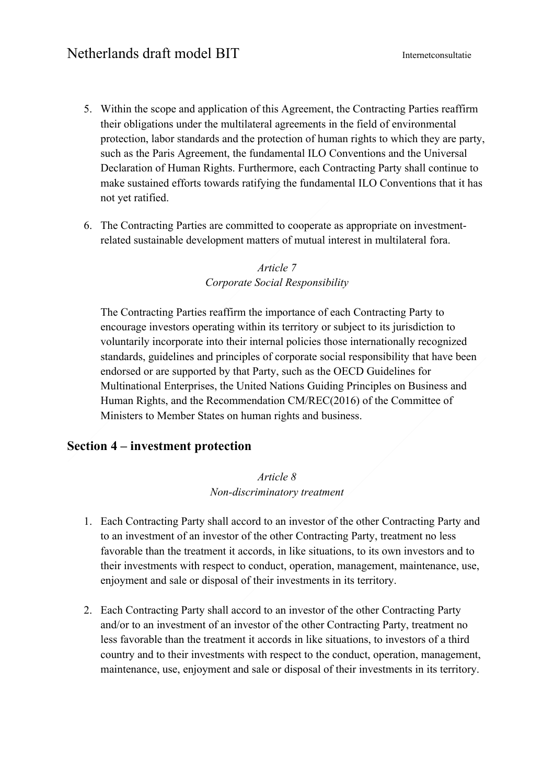- 5. Within the scope and application of this Agreement, the Contracting Parties reaffirm their obligations under the multilateral agreements in the field of environmental protection, labor standards and the protection of human rights to which they are party, such as the Paris Agreement, the fundamental ILO Conventions and the Universal Declaration of Human Rights. Furthermore, each Contracting Party shall continue to make sustained efforts towards ratifying the fundamental ILO Conventions that it has not yet ratified.
- 6. The Contracting Parties are committed to cooperate as appropriate on investmentrelated sustainable development matters of mutual interest in multilateral fora.

#### *Article 7 Corporate Social Responsibility*

The Contracting Parties reaffirm the importance of each Contracting Party to encourage investors operating within its territory or subject to its jurisdiction to voluntarily incorporate into their internal policies those internationally recognized standards, guidelines and principles of corporate social responsibility that have been endorsed or are supported by that Party, such as the OECD Guidelines for Multinational Enterprises, the United Nations Guiding Principles on Business and Human Rights, and the Recommendation CM/REC(2016) of the Committee of Ministers to Member States on human rights and business.

#### **Section 4 – investment protection**

#### *Article 8 Non-discriminatory treatment*

- 1. Each Contracting Party shall accord to an investor of the other Contracting Party and to an investment of an investor of the other Contracting Party, treatment no less favorable than the treatment it accords, in like situations, to its own investors and to their investments with respect to conduct, operation, management, maintenance, use, enjoyment and sale or disposal of their investments in its territory.
- 2. Each Contracting Party shall accord to an investor of the other Contracting Party and/or to an investment of an investor of the other Contracting Party, treatment no less favorable than the treatment it accords in like situations, to investors of a third country and to their investments with respect to the conduct, operation, management, maintenance, use, enjoyment and sale or disposal of their investments in its territory.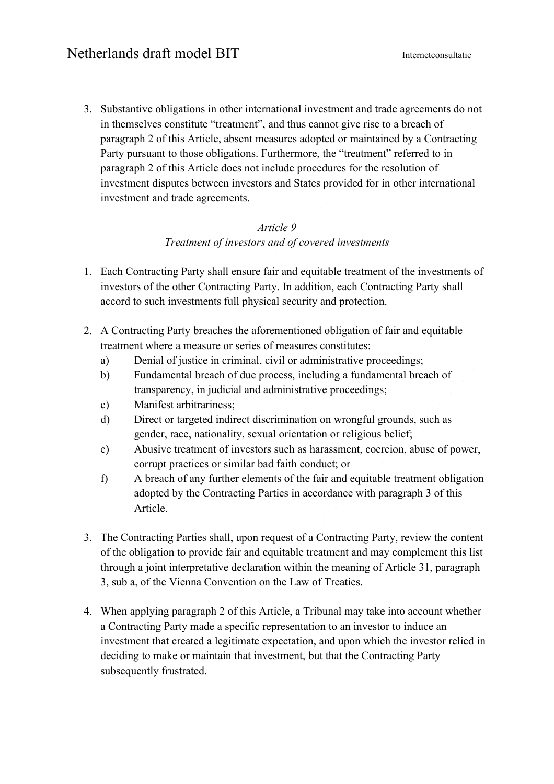3. Substantive obligations in other international investment and trade agreements do not in themselves constitute "treatment", and thus cannot give rise to a breach of paragraph 2 of this Article, absent measures adopted or maintained by a Contracting Party pursuant to those obligations. Furthermore, the "treatment" referred to in paragraph 2 of this Article does not include procedures for the resolution of investment disputes between investors and States provided for in other international investment and trade agreements.

#### *Article 9 Treatment of investors and of covered investments*

- 1. Each Contracting Party shall ensure fair and equitable treatment of the investments of investors of the other Contracting Party. In addition, each Contracting Party shall accord to such investments full physical security and protection.
- 2. A Contracting Party breaches the aforementioned obligation of fair and equitable treatment where a measure or series of measures constitutes:
	- a) Denial of justice in criminal, civil or administrative proceedings;
	- b) Fundamental breach of due process, including a fundamental breach of transparency, in judicial and administrative proceedings;
	- c) Manifest arbitrariness;
	- d) Direct or targeted indirect discrimination on wrongful grounds, such as gender, race, nationality, sexual orientation or religious belief;
	- e) Abusive treatment of investors such as harassment, coercion, abuse of power, corrupt practices or similar bad faith conduct; or
	- f) A breach of any further elements of the fair and equitable treatment obligation adopted by the Contracting Parties in accordance with paragraph 3 of this Article.
- 3. The Contracting Parties shall, upon request of a Contracting Party, review the content of the obligation to provide fair and equitable treatment and may complement this list through a joint interpretative declaration within the meaning of Article 31, paragraph 3, sub a, of the Vienna Convention on the Law of Treaties.
- 4. When applying paragraph 2 of this Article, a Tribunal may take into account whether a Contracting Party made a specific representation to an investor to induce an investment that created a legitimate expectation, and upon which the investor relied in deciding to make or maintain that investment, but that the Contracting Party subsequently frustrated.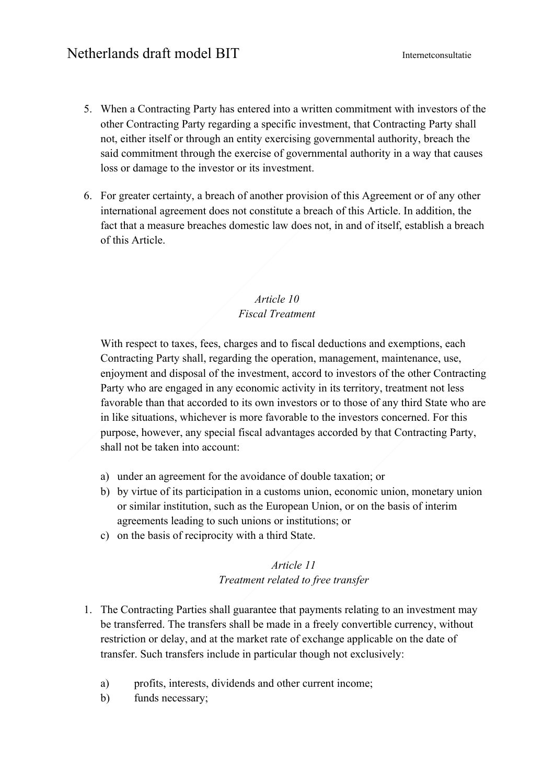- 5. When a Contracting Party has entered into a written commitment with investors of the other Contracting Party regarding a specific investment, that Contracting Party shall not, either itself or through an entity exercising governmental authority, breach the said commitment through the exercise of governmental authority in a way that causes loss or damage to the investor or its investment.
- 6. For greater certainty, a breach of another provision of this Agreement or of any other international agreement does not constitute a breach of this Article. In addition, the fact that a measure breaches domestic law does not, in and of itself, establish a breach of this Article.

#### *Article 10 Fiscal Treatment*

With respect to taxes, fees, charges and to fiscal deductions and exemptions, each Contracting Party shall, regarding the operation, management, maintenance, use, enjoyment and disposal of the investment, accord to investors of the other Contracting Party who are engaged in any economic activity in its territory, treatment not less favorable than that accorded to its own investors or to those of any third State who are in like situations, whichever is more favorable to the investors concerned. For this purpose, however, any special fiscal advantages accorded by that Contracting Party, shall not be taken into account:

- a) under an agreement for the avoidance of double taxation; or
- b) by virtue of its participation in a customs union, economic union, monetary union or similar institution, such as the European Union, or on the basis of interim agreements leading to such unions or institutions; or
- c) on the basis of reciprocity with a third State.

#### *Article 11 Treatment related to free transfer*

- 1. The Contracting Parties shall guarantee that payments relating to an investment may be transferred. The transfers shall be made in a freely convertible currency, without restriction or delay, and at the market rate of exchange applicable on the date of transfer. Such transfers include in particular though not exclusively:
	- a) profits, interests, dividends and other current income;
	- b) funds necessary;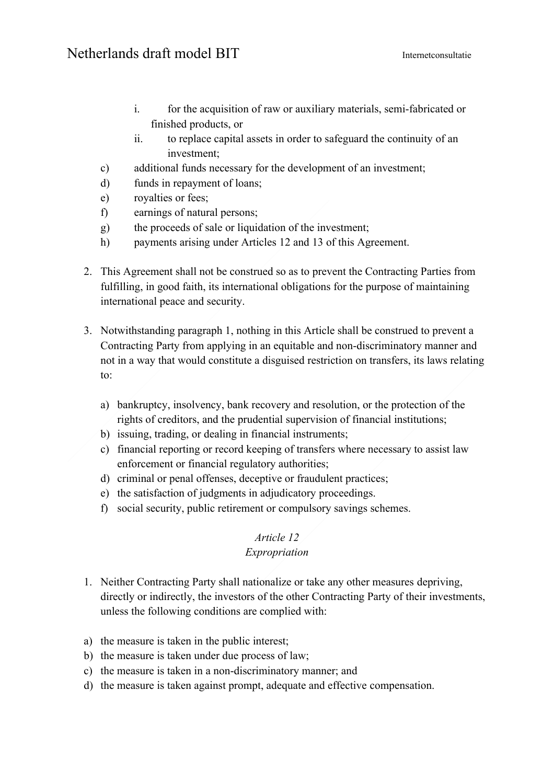- i. for the acquisition of raw or auxiliary materials, semi-fabricated or finished products, or
- ii. to replace capital assets in order to safeguard the continuity of an investment;
- c) additional funds necessary for the development of an investment;
- d) funds in repayment of loans;
- e) royalties or fees;
- f) earnings of natural persons;
- g) the proceeds of sale or liquidation of the investment;
- h) payments arising under Articles 12 and 13 of this Agreement.
- 2. This Agreement shall not be construed so as to prevent the Contracting Parties from fulfilling, in good faith, its international obligations for the purpose of maintaining international peace and security.
- 3. Notwithstanding paragraph 1, nothing in this Article shall be construed to prevent a Contracting Party from applying in an equitable and non-discriminatory manner and not in a way that would constitute a disguised restriction on transfers, its laws relating to:
	- a) bankruptcy, insolvency, bank recovery and resolution, or the protection of the rights of creditors, and the prudential supervision of financial institutions;
	- b) issuing, trading, or dealing in financial instruments;
	- c) financial reporting or record keeping of transfers where necessary to assist law enforcement or financial regulatory authorities;
	- d) criminal or penal offenses, deceptive or fraudulent practices;
	- e) the satisfaction of judgments in adjudicatory proceedings.
	- f) social security, public retirement or compulsory savings schemes.

### *Article 12*

#### *Expropriation*

- 1. Neither Contracting Party shall nationalize or take any other measures depriving, directly or indirectly, the investors of the other Contracting Party of their investments, unless the following conditions are complied with:
- a) the measure is taken in the public interest;
- b) the measure is taken under due process of law;
- c) the measure is taken in a non-discriminatory manner; and
- d) the measure is taken against prompt, adequate and effective compensation.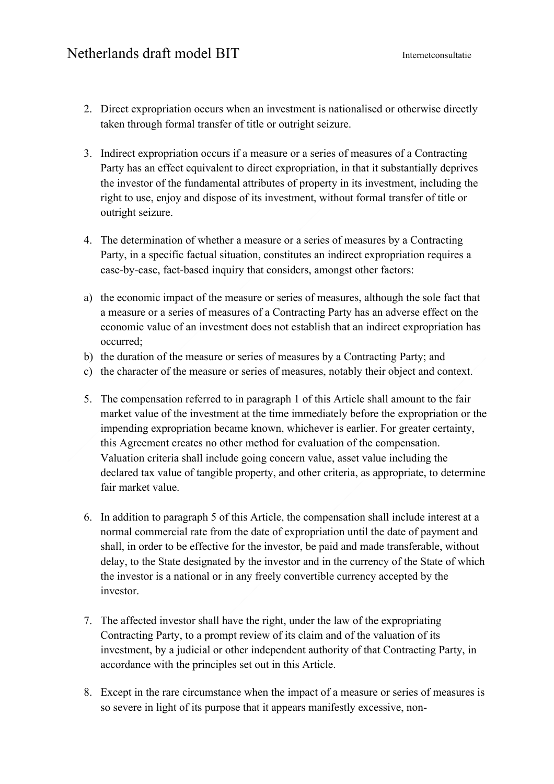- 2. Direct expropriation occurs when an investment is nationalised or otherwise directly taken through formal transfer of title or outright seizure.
- 3. Indirect expropriation occurs if a measure or a series of measures of a Contracting Party has an effect equivalent to direct expropriation, in that it substantially deprives the investor of the fundamental attributes of property in its investment, including the right to use, enjoy and dispose of its investment, without formal transfer of title or outright seizure.
- 4. The determination of whether a measure or a series of measures by a Contracting Party, in a specific factual situation, constitutes an indirect expropriation requires a case-by-case, fact-based inquiry that considers, amongst other factors:
- a) the economic impact of the measure or series of measures, although the sole fact that a measure or a series of measures of a Contracting Party has an adverse effect on the economic value of an investment does not establish that an indirect expropriation has occurred;
- b) the duration of the measure or series of measures by a Contracting Party; and
- c) the character of the measure or series of measures, notably their object and context.
- 5. The compensation referred to in paragraph 1 of this Article shall amount to the fair market value of the investment at the time immediately before the expropriation or the impending expropriation became known, whichever is earlier. For greater certainty, this Agreement creates no other method for evaluation of the compensation. Valuation criteria shall include going concern value, asset value including the declared tax value of tangible property, and other criteria, as appropriate, to determine fair market value.
- 6. In addition to paragraph 5 of this Article, the compensation shall include interest at a normal commercial rate from the date of expropriation until the date of payment and shall, in order to be effective for the investor, be paid and made transferable, without delay, to the State designated by the investor and in the currency of the State of which the investor is a national or in any freely convertible currency accepted by the investor.
- 7. The affected investor shall have the right, under the law of the expropriating Contracting Party, to a prompt review of its claim and of the valuation of its investment, by a judicial or other independent authority of that Contracting Party, in accordance with the principles set out in this Article.
- 8. Except in the rare circumstance when the impact of a measure or series of measures is so severe in light of its purpose that it appears manifestly excessive, non-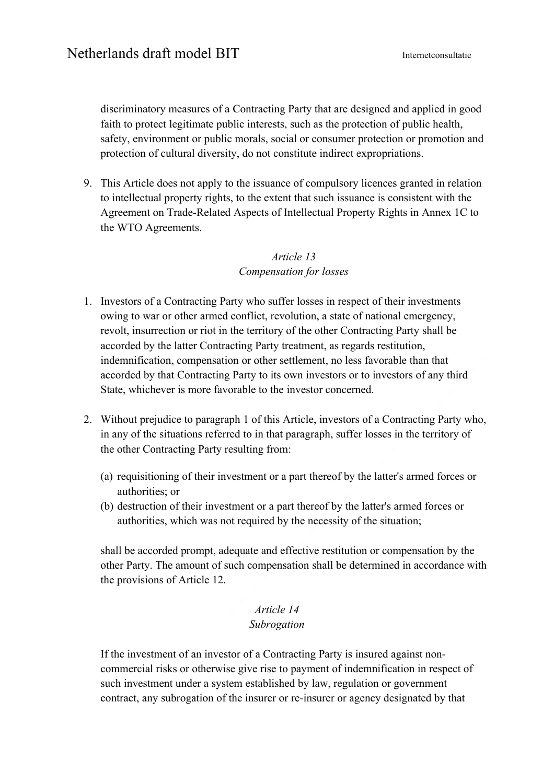discriminatory measures of a Contracting Party that are designed and applied in good faith to protect legitimate public interests, such as the protection of public health, safety, environment or public morals, social or consumer protection or promotion and protection of cultural diversity, do not constitute indirect expropriations.

9. This Article does not apply to the issuance of compulsory licences granted in relation to intellectual property rights, to the extent that such issuance is consistent with the Agreement on Trade-Related Aspects of Intellectual Property Rights in Annex 1C to the WTO Agreements.

### *Article 13 Compensation for losses*

- 1. Investors of a Contracting Party who suffer losses in respect of their investments owing to war or other armed conflict, revolution, a state of national emergency, revolt, insurrection or riot in the territory of the other Contracting Party shall be accorded by the latter Contracting Party treatment, as regards restitution, indemnification, compensation or other settlement, no less favorable than that accorded by that Contracting Party to its own investors or to investors of any third State, whichever is more favorable to the investor concerned.
- 2. Without prejudice to paragraph 1 of this Article, investors of a Contracting Party who, in any of the situations referred to in that paragraph, suffer losses in the territory of the other Contracting Party resulting from:
	- (a) requisitioning of their investment or a part thereof by the latter's armed forces or authorities; or
	- (b) destruction of their investment or a part thereof by the latter's armed forces or authorities, which was not required by the necessity of the situation;

shall be accorded prompt, adequate and effective restitution or compensation by the other Party. The amount of such compensation shall be determined in accordance with the provisions of Article 12.

#### *Article 14 Subrogation*

If the investment of an investor of a Contracting Party is insured against noncommercial risks or otherwise give rise to payment of indemnification in respect of such investment under a system established by law, regulation or government contract, any subrogation of the insurer or re-insurer or agency designated by that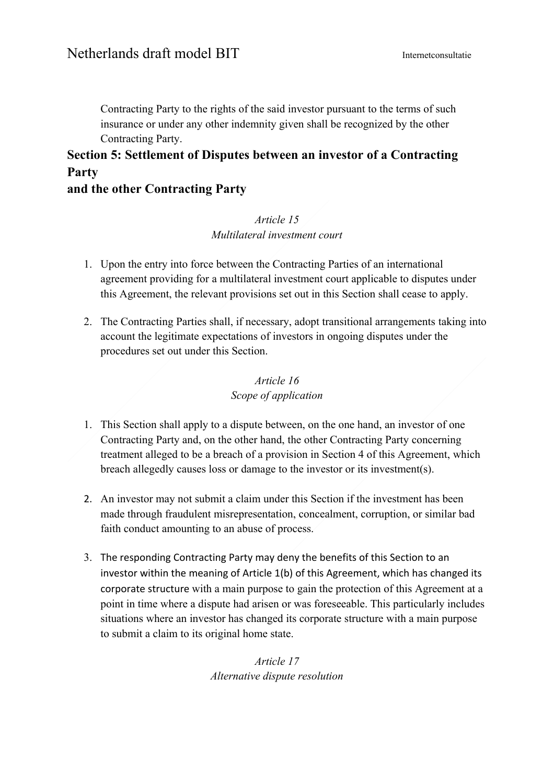Contracting Party to the rights of the said investor pursuant to the terms of such insurance or under any other indemnity given shall be recognized by the other Contracting Party.

# **Section 5: Settlement of Disputes between an investor of a Contracting Party**

## **and the other Contracting Party**

### *Article 15 Multilateral investment court*

- 1. Upon the entry into force between the Contracting Parties of an international agreement providing for a multilateral investment court applicable to disputes under this Agreement, the relevant provisions set out in this Section shall cease to apply.
- 2. The Contracting Parties shall, if necessary, adopt transitional arrangements taking into account the legitimate expectations of investors in ongoing disputes under the procedures set out under this Section.

## *Article 16 Scope of application*

- 1. This Section shall apply to a dispute between, on the one hand, an investor of one Contracting Party and, on the other hand, the other Contracting Party concerning treatment alleged to be a breach of a provision in Section 4 of this Agreement, which breach allegedly causes loss or damage to the investor or its investment(s).
- 2. An investor may not submit a claim under this Section if the investment has been made through fraudulent misrepresentation, concealment, corruption, or similar bad faith conduct amounting to an abuse of process.
- 3. The responding Contracting Party may deny the benefits of this Section to an investor within the meaning of Article 1(b) of this Agreement, which has changed its corporate structure with a main purpose to gain the protection of this Agreement at a point in time where a dispute had arisen or was foreseeable. This particularly includes situations where an investor has changed its corporate structure with a main purpose to submit a claim to its original home state.

*Article 17 Alternative dispute resolution*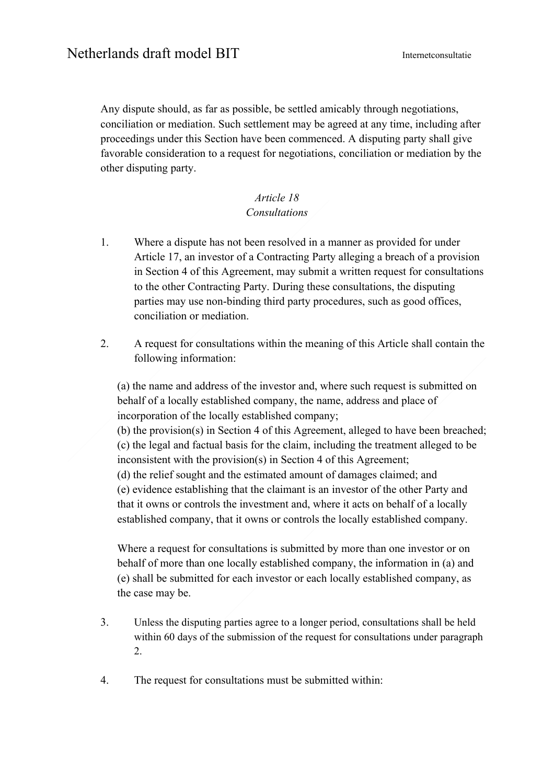Any dispute should, as far as possible, be settled amicably through negotiations, conciliation or mediation. Such settlement may be agreed at any time, including after proceedings under this Section have been commenced. A disputing party shall give favorable consideration to a request for negotiations, conciliation or mediation by the other disputing party.

#### *Article 18 Consultations*

- 1. Where a dispute has not been resolved in a manner as provided for under Article 17, an investor of a Contracting Party alleging a breach of a provision in Section 4 of this Agreement, may submit a written request for consultations to the other Contracting Party. During these consultations, the disputing parties may use non-binding third party procedures, such as good offices, conciliation or mediation.
- 2. A request for consultations within the meaning of this Article shall contain the following information:

(a) the name and address of the investor and, where such request is submitted on behalf of a locally established company, the name, address and place of incorporation of the locally established company;

(b) the provision(s) in Section 4 of this Agreement, alleged to have been breached; (c) the legal and factual basis for the claim, including the treatment alleged to be inconsistent with the provision(s) in Section 4 of this Agreement;

(d) the relief sought and the estimated amount of damages claimed; and (e) evidence establishing that the claimant is an investor of the other Party and that it owns or controls the investment and, where it acts on behalf of a locally established company, that it owns or controls the locally established company.

Where a request for consultations is submitted by more than one investor or on behalf of more than one locally established company, the information in (a) and (e) shall be submitted for each investor or each locally established company, as the case may be.

- 3. Unless the disputing parties agree to a longer period, consultations shall be held within 60 days of the submission of the request for consultations under paragraph 2.
- 4. The request for consultations must be submitted within: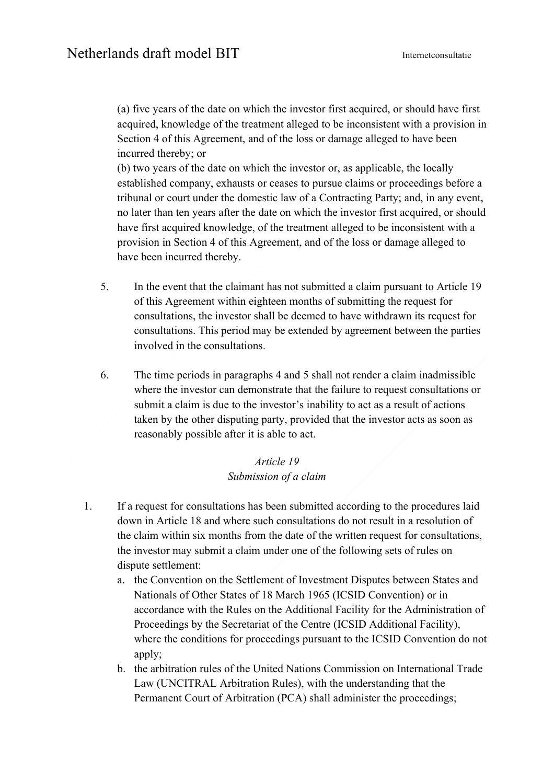(a) five years of the date on which the investor first acquired, or should have first acquired, knowledge of the treatment alleged to be inconsistent with a provision in Section 4 of this Agreement, and of the loss or damage alleged to have been incurred thereby; or

(b) two years of the date on which the investor or, as applicable, the locally established company, exhausts or ceases to pursue claims or proceedings before a tribunal or court under the domestic law of a Contracting Party; and, in any event, no later than ten years after the date on which the investor first acquired, or should have first acquired knowledge, of the treatment alleged to be inconsistent with a provision in Section 4 of this Agreement, and of the loss or damage alleged to have been incurred thereby.

- 5. In the event that the claimant has not submitted a claim pursuant to Article 19 of this Agreement within eighteen months of submitting the request for consultations, the investor shall be deemed to have withdrawn its request for consultations. This period may be extended by agreement between the parties involved in the consultations.
- 6. The time periods in paragraphs 4 and 5 shall not render a claim inadmissible where the investor can demonstrate that the failure to request consultations or submit a claim is due to the investor's inability to act as a result of actions taken by the other disputing party, provided that the investor acts as soon as reasonably possible after it is able to act.

#### *Article 19 Submission of a claim*

- 1. If a request for consultations has been submitted according to the procedures laid down in Article 18 and where such consultations do not result in a resolution of the claim within six months from the date of the written request for consultations, the investor may submit a claim under one of the following sets of rules on dispute settlement:
	- a. the Convention on the Settlement of Investment Disputes between States and Nationals of Other States of 18 March 1965 (ICSID Convention) or in accordance with the Rules on the Additional Facility for the Administration of Proceedings by the Secretariat of the Centre (ICSID Additional Facility), where the conditions for proceedings pursuant to the ICSID Convention do not apply;
	- b. the arbitration rules of the United Nations Commission on International Trade Law (UNCITRAL Arbitration Rules), with the understanding that the Permanent Court of Arbitration (PCA) shall administer the proceedings;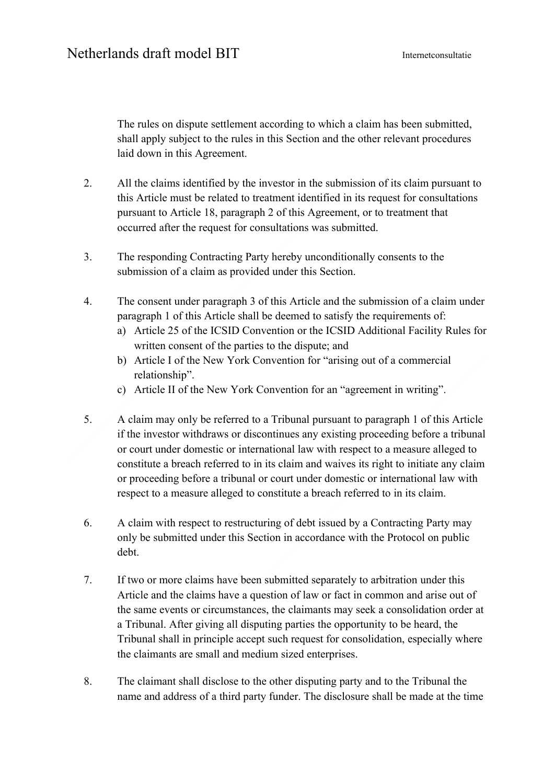The rules on dispute settlement according to which a claim has been submitted, shall apply subject to the rules in this Section and the other relevant procedures laid down in this Agreement.

- 2. All the claims identified by the investor in the submission of its claim pursuant to this Article must be related to treatment identified in its request for consultations pursuant to Article 18, paragraph 2 of this Agreement, or to treatment that occurred after the request for consultations was submitted.
- 3. The responding Contracting Party hereby unconditionally consents to the submission of a claim as provided under this Section.
- 4. The consent under paragraph 3 of this Article and the submission of a claim under paragraph 1 of this Article shall be deemed to satisfy the requirements of:
	- a) Article 25 of the ICSID Convention or the ICSID Additional Facility Rules for written consent of the parties to the dispute; and
	- b) Article I of the New York Convention for "arising out of a commercial relationship".
	- c) Article II of the New York Convention for an "agreement in writing".
- 5. A claim may only be referred to a Tribunal pursuant to paragraph 1 of this Article if the investor withdraws or discontinues any existing proceeding before a tribunal or court under domestic or international law with respect to a measure alleged to constitute a breach referred to in its claim and waives its right to initiate any claim or proceeding before a tribunal or court under domestic or international law with respect to a measure alleged to constitute a breach referred to in its claim.
- 6. A claim with respect to restructuring of debt issued by a Contracting Party may only be submitted under this Section in accordance with the Protocol on public debt.
- 7. If two or more claims have been submitted separately to arbitration under this Article and the claims have a question of law or fact in common and arise out of the same events or circumstances, the claimants may seek a consolidation order at a Tribunal. After giving all disputing parties the opportunity to be heard, the Tribunal shall in principle accept such request for consolidation, especially where the claimants are small and medium sized enterprises.
- 8. The claimant shall disclose to the other disputing party and to the Tribunal the name and address of a third party funder. The disclosure shall be made at the time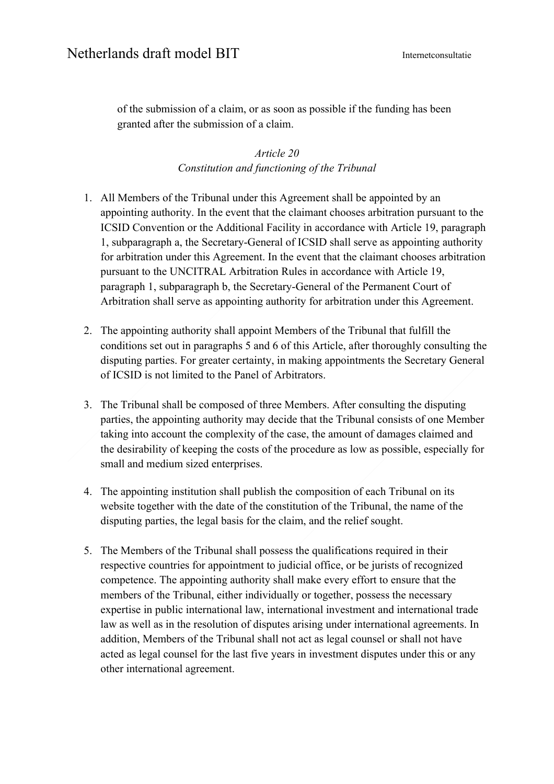of the submission of a claim, or as soon as possible if the funding has been granted after the submission of a claim.

> *Article 20 Constitution and functioning of the Tribunal*

- 1. All Members of the Tribunal under this Agreement shall be appointed by an appointing authority. In the event that the claimant chooses arbitration pursuant to the ICSID Convention or the Additional Facility in accordance with Article 19, paragraph 1, subparagraph a, the Secretary-General of ICSID shall serve as appointing authority for arbitration under this Agreement. In the event that the claimant chooses arbitration pursuant to the UNCITRAL Arbitration Rules in accordance with Article 19, paragraph 1, subparagraph b, the Secretary-General of the Permanent Court of Arbitration shall serve as appointing authority for arbitration under this Agreement.
- 2. The appointing authority shall appoint Members of the Tribunal that fulfill the conditions set out in paragraphs 5 and 6 of this Article, after thoroughly consulting the disputing parties. For greater certainty, in making appointments the Secretary General of ICSID is not limited to the Panel of Arbitrators.
- 3. The Tribunal shall be composed of three Members. After consulting the disputing parties, the appointing authority may decide that the Tribunal consists of one Member taking into account the complexity of the case, the amount of damages claimed and the desirability of keeping the costs of the procedure as low as possible, especially for small and medium sized enterprises.
- 4. The appointing institution shall publish the composition of each Tribunal on its website together with the date of the constitution of the Tribunal, the name of the disputing parties, the legal basis for the claim, and the relief sought.
- 5. The Members of the Tribunal shall possess the qualifications required in their respective countries for appointment to judicial office, or be jurists of recognized competence. The appointing authority shall make every effort to ensure that the members of the Tribunal, either individually or together, possess the necessary expertise in public international law, international investment and international trade law as well as in the resolution of disputes arising under international agreements. In addition, Members of the Tribunal shall not act as legal counsel or shall not have acted as legal counsel for the last five years in investment disputes under this or any other international agreement.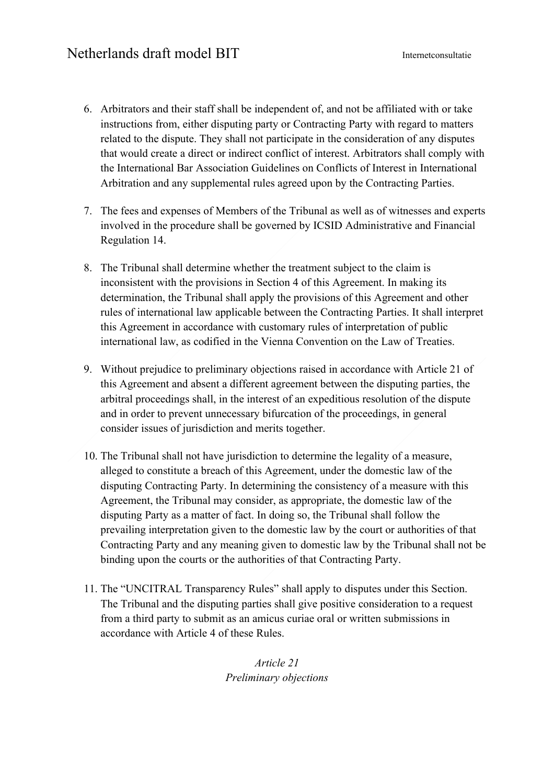- 6. Arbitrators and their staff shall be independent of, and not be affiliated with or take instructions from, either disputing party or Contracting Party with regard to matters related to the dispute. They shall not participate in the consideration of any disputes that would create a direct or indirect conflict of interest. Arbitrators shall comply with the International Bar Association Guidelines on Conflicts of Interest in International Arbitration and any supplemental rules agreed upon by the Contracting Parties.
- 7. The fees and expenses of Members of the Tribunal as well as of witnesses and experts involved in the procedure shall be governed by ICSID Administrative and Financial Regulation 14.
- 8. The Tribunal shall determine whether the treatment subject to the claim is inconsistent with the provisions in Section 4 of this Agreement. In making its determination, the Tribunal shall apply the provisions of this Agreement and other rules of international law applicable between the Contracting Parties. It shall interpret this Agreement in accordance with customary rules of interpretation of public international law, as codified in the Vienna Convention on the Law of Treaties.
- 9. Without prejudice to preliminary objections raised in accordance with Article 21 of this Agreement and absent a different agreement between the disputing parties, the arbitral proceedings shall, in the interest of an expeditious resolution of the dispute and in order to prevent unnecessary bifurcation of the proceedings, in general consider issues of jurisdiction and merits together.
- 10. The Tribunal shall not have jurisdiction to determine the legality of a measure, alleged to constitute a breach of this Agreement, under the domestic law of the disputing Contracting Party. In determining the consistency of a measure with this Agreement, the Tribunal may consider, as appropriate, the domestic law of the disputing Party as a matter of fact. In doing so, the Tribunal shall follow the prevailing interpretation given to the domestic law by the court or authorities of that Contracting Party and any meaning given to domestic law by the Tribunal shall not be binding upon the courts or the authorities of that Contracting Party.
- 11. The "UNCITRAL Transparency Rules" shall apply to disputes under this Section. The Tribunal and the disputing parties shall give positive consideration to a request from a third party to submit as an amicus curiae oral or written submissions in accordance with Article 4 of these Rules.

*Article 21 Preliminary objections*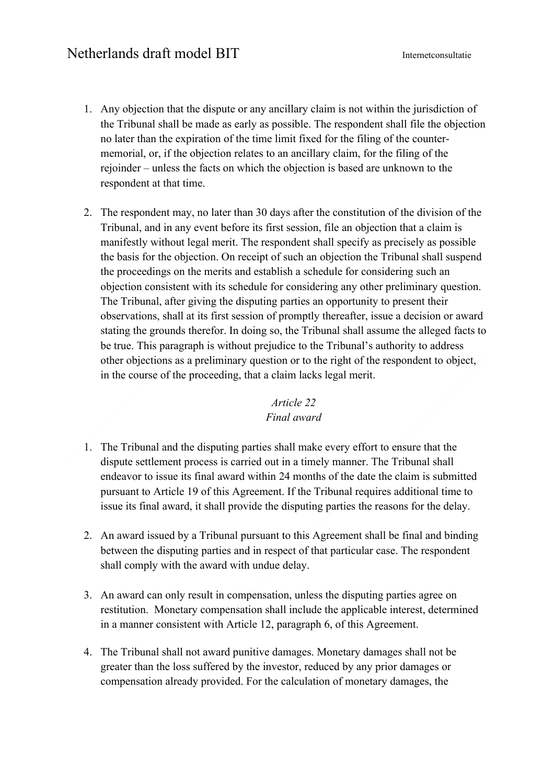- 1. Any objection that the dispute or any ancillary claim is not within the jurisdiction of the Tribunal shall be made as early as possible. The respondent shall file the objection no later than the expiration of the time limit fixed for the filing of the countermemorial, or, if the objection relates to an ancillary claim, for the filing of the rejoinder – unless the facts on which the objection is based are unknown to the respondent at that time.
- 2. The respondent may, no later than 30 days after the constitution of the division of the Tribunal, and in any event before its first session, file an objection that a claim is manifestly without legal merit. The respondent shall specify as precisely as possible the basis for the objection. On receipt of such an objection the Tribunal shall suspend the proceedings on the merits and establish a schedule for considering such an objection consistent with its schedule for considering any other preliminary question. The Tribunal, after giving the disputing parties an opportunity to present their observations, shall at its first session of promptly thereafter, issue a decision or award stating the grounds therefor. In doing so, the Tribunal shall assume the alleged facts to be true. This paragraph is without prejudice to the Tribunal's authority to address other objections as a preliminary question or to the right of the respondent to object, in the course of the proceeding, that a claim lacks legal merit.

## *Article 22 Final award*

- 1. The Tribunal and the disputing parties shall make every effort to ensure that the dispute settlement process is carried out in a timely manner. The Tribunal shall endeavor to issue its final award within 24 months of the date the claim is submitted pursuant to Article 19 of this Agreement. If the Tribunal requires additional time to issue its final award, it shall provide the disputing parties the reasons for the delay.
- 2. An award issued by a Tribunal pursuant to this Agreement shall be final and binding between the disputing parties and in respect of that particular case. The respondent shall comply with the award with undue delay.
- 3. An award can only result in compensation, unless the disputing parties agree on restitution. Monetary compensation shall include the applicable interest, determined in a manner consistent with Article 12, paragraph 6, of this Agreement.
- 4. The Tribunal shall not award punitive damages. Monetary damages shall not be greater than the loss suffered by the investor, reduced by any prior damages or compensation already provided. For the calculation of monetary damages, the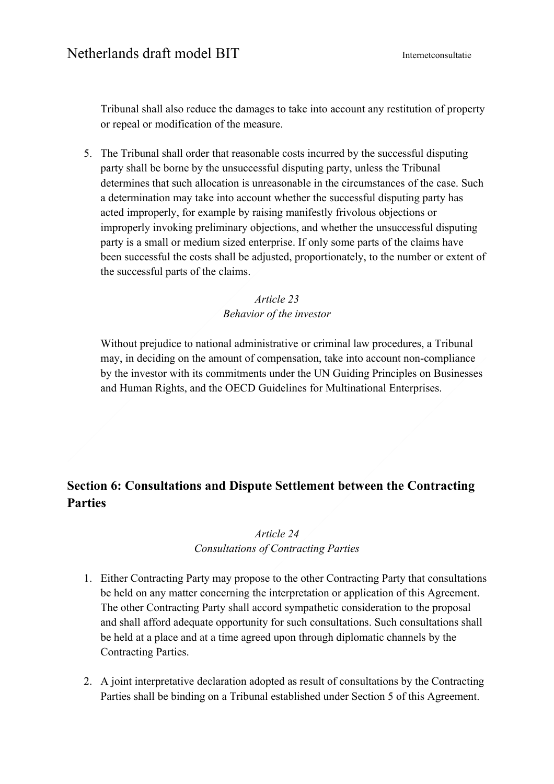Tribunal shall also reduce the damages to take into account any restitution of property or repeal or modification of the measure.

5. The Tribunal shall order that reasonable costs incurred by the successful disputing party shall be borne by the unsuccessful disputing party, unless the Tribunal determines that such allocation is unreasonable in the circumstances of the case. Such a determination may take into account whether the successful disputing party has acted improperly, for example by raising manifestly frivolous objections or improperly invoking preliminary objections, and whether the unsuccessful disputing party is a small or medium sized enterprise. If only some parts of the claims have been successful the costs shall be adjusted, proportionately, to the number or extent of the successful parts of the claims.

> *Article 23 Behavior of the investor*

Without prejudice to national administrative or criminal law procedures, a Tribunal may, in deciding on the amount of compensation, take into account non-compliance by the investor with its commitments under the UN Guiding Principles on Businesses and Human Rights, and the OECD Guidelines for Multinational Enterprises.

# **Section 6: Consultations and Dispute Settlement between the Contracting Parties**

### *Article 24 Consultations of Contracting Parties*

- 1. Either Contracting Party may propose to the other Contracting Party that consultations be held on any matter concerning the interpretation or application of this Agreement. The other Contracting Party shall accord sympathetic consideration to the proposal and shall afford adequate opportunity for such consultations. Such consultations shall be held at a place and at a time agreed upon through diplomatic channels by the Contracting Parties.
- 2. A joint interpretative declaration adopted as result of consultations by the Contracting Parties shall be binding on a Tribunal established under Section 5 of this Agreement.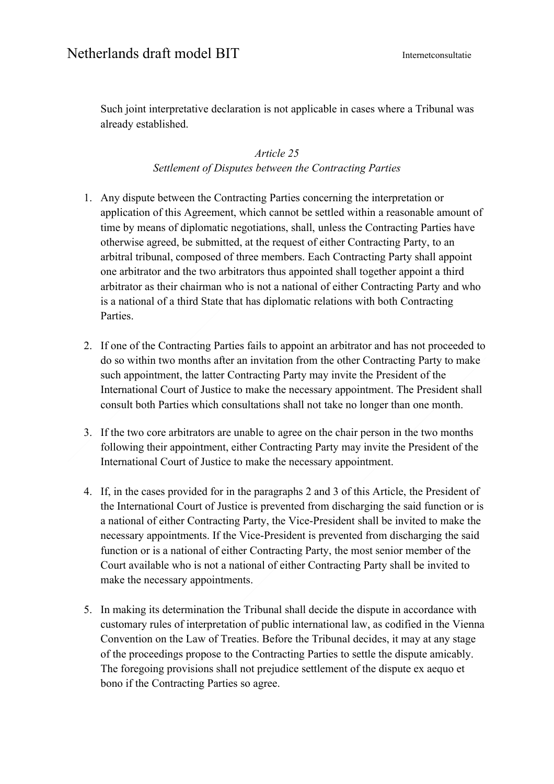Such joint interpretative declaration is not applicable in cases where a Tribunal was already established.

#### *Article 25 Settlement of Disputes between the Contracting Parties*

- 1. Any dispute between the Contracting Parties concerning the interpretation or application of this Agreement, which cannot be settled within a reasonable amount of time by means of diplomatic negotiations, shall, unless the Contracting Parties have otherwise agreed, be submitted, at the request of either Contracting Party, to an arbitral tribunal, composed of three members. Each Contracting Party shall appoint one arbitrator and the two arbitrators thus appointed shall together appoint a third arbitrator as their chairman who is not a national of either Contracting Party and who is a national of a third State that has diplomatic relations with both Contracting Parties.
- 2. If one of the Contracting Parties fails to appoint an arbitrator and has not proceeded to do so within two months after an invitation from the other Contracting Party to make such appointment, the latter Contracting Party may invite the President of the International Court of Justice to make the necessary appointment. The President shall consult both Parties which consultations shall not take no longer than one month.
- 3. If the two core arbitrators are unable to agree on the chair person in the two months following their appointment, either Contracting Party may invite the President of the International Court of Justice to make the necessary appointment.
- 4. If, in the cases provided for in the paragraphs 2 and 3 of this Article, the President of the International Court of Justice is prevented from discharging the said function or is a national of either Contracting Party, the Vice-President shall be invited to make the necessary appointments. If the Vice-President is prevented from discharging the said function or is a national of either Contracting Party, the most senior member of the Court available who is not a national of either Contracting Party shall be invited to make the necessary appointments.
- 5. In making its determination the Tribunal shall decide the dispute in accordance with customary rules of interpretation of public international law, as codified in the Vienna Convention on the Law of Treaties. Before the Tribunal decides, it may at any stage of the proceedings propose to the Contracting Parties to settle the dispute amicably. The foregoing provisions shall not prejudice settlement of the dispute ex aequo et bono if the Contracting Parties so agree.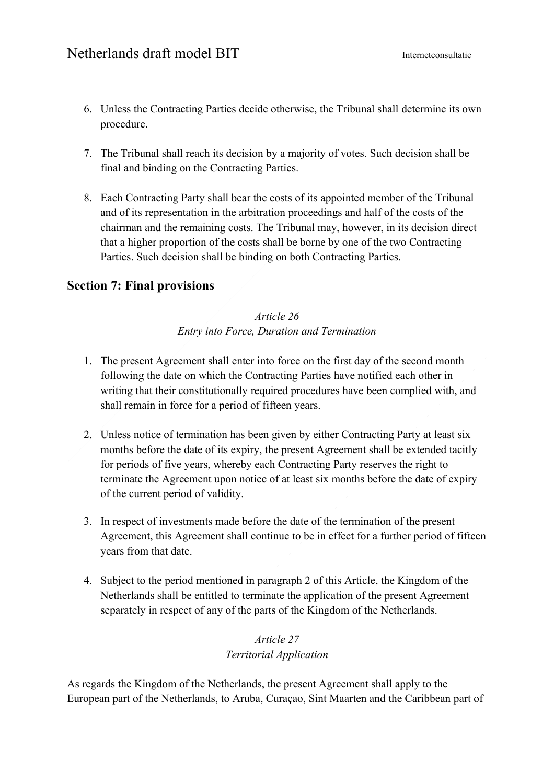- 6. Unless the Contracting Parties decide otherwise, the Tribunal shall determine its own procedure.
- 7. The Tribunal shall reach its decision by a majority of votes. Such decision shall be final and binding on the Contracting Parties.
- 8. Each Contracting Party shall bear the costs of its appointed member of the Tribunal and of its representation in the arbitration proceedings and half of the costs of the chairman and the remaining costs. The Tribunal may, however, in its decision direct that a higher proportion of the costs shall be borne by one of the two Contracting Parties. Such decision shall be binding on both Contracting Parties.

## **Section 7: Final provisions**

### *Article 26 Entry into Force, Duration and Termination*

- 1. The present Agreement shall enter into force on the first day of the second month following the date on which the Contracting Parties have notified each other in writing that their constitutionally required procedures have been complied with, and shall remain in force for a period of fifteen years.
- 2. Unless notice of termination has been given by either Contracting Party at least six months before the date of its expiry, the present Agreement shall be extended tacitly for periods of five years, whereby each Contracting Party reserves the right to terminate the Agreement upon notice of at least six months before the date of expiry of the current period of validity.
- 3. In respect of investments made before the date of the termination of the present Agreement, this Agreement shall continue to be in effect for a further period of fifteen years from that date.
- 4. Subject to the period mentioned in paragraph 2 of this Article, the Kingdom of the Netherlands shall be entitled to terminate the application of the present Agreement separately in respect of any of the parts of the Kingdom of the Netherlands.

### *Article 27 Territorial Application*

As regards the Kingdom of the Netherlands, the present Agreement shall apply to the European part of the Netherlands, to Aruba, Curaçao, Sint Maarten and the Caribbean part of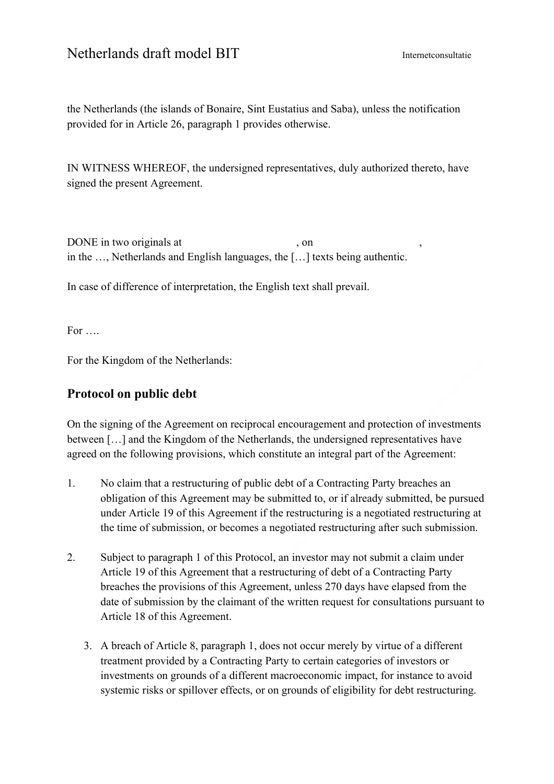the Netherlands (the islands of Bonaire, Sint Eustatius and Saba), unless the notification provided for in Article 26, paragraph 1 provides otherwise.

IN WITNESS WHEREOF, the undersigned representatives, duly authorized thereto, have signed the present Agreement.

DONE in two originals at , on in the …, Netherlands and English languages, the […] texts being authentic.

In case of difference of interpretation, the English text shall prevail.

For ….

For the Kingdom of the Netherlands:

## **Protocol on public debt**

On the signing of the Agreement on reciprocal encouragement and protection of investments between […] and the Kingdom of the Netherlands, the undersigned representatives have agreed on the following provisions, which constitute an integral part of the Agreement:

- 1. No claim that a restructuring of public debt of a Contracting Party breaches an obligation of this Agreement may be submitted to, or if already submitted, be pursued under Article 19 of this Agreement if the restructuring is a negotiated restructuring at the time of submission, or becomes a negotiated restructuring after such submission.
- 2. Subject to paragraph 1 of this Protocol, an investor may not submit a claim under Article 19 of this Agreement that a restructuring of debt of a Contracting Party breaches the provisions of this Agreement, unless 270 days have elapsed from the date of submission by the claimant of the written request for consultations pursuant to Article 18 of this Agreement.
	- 3. A breach of Article 8, paragraph 1, does not occur merely by virtue of a different treatment provided by a Contracting Party to certain categories of investors or investments on grounds of a different macroeconomic impact, for instance to avoid systemic risks or spillover effects, or on grounds of eligibility for debt restructuring.